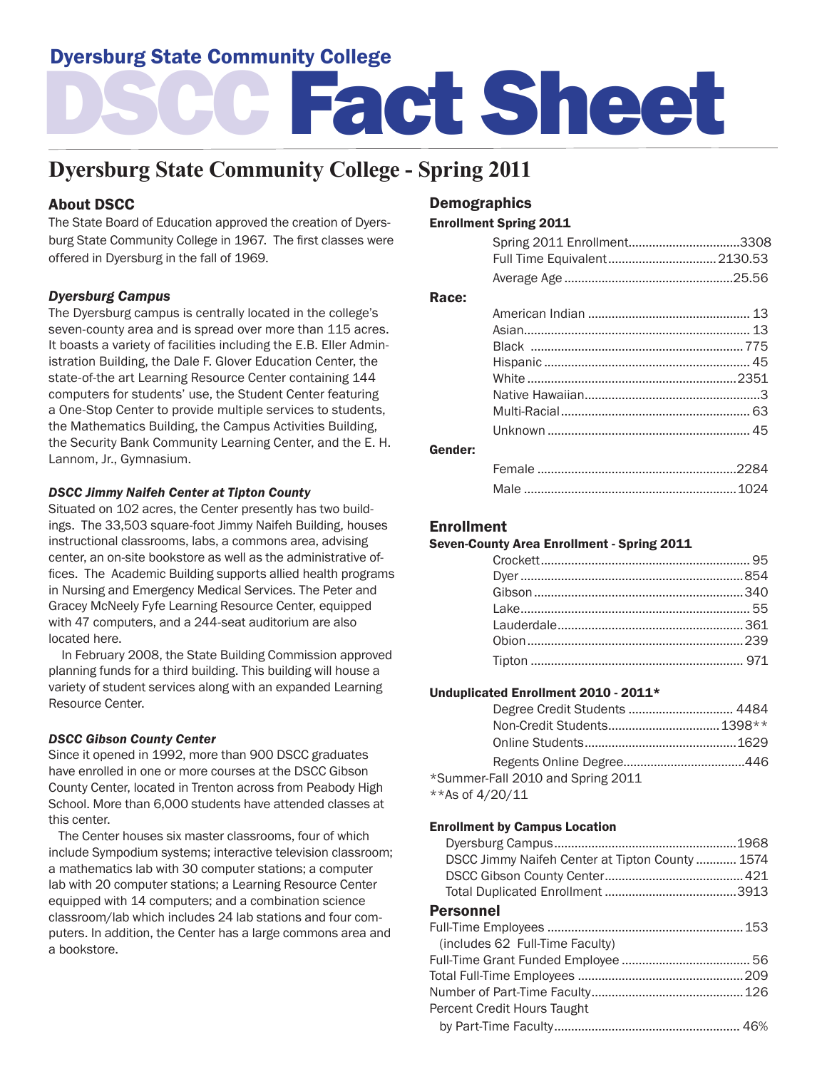# Dyersburg State Community College

# DSCC Fact Sheet

# **Dyersburg State Community College - Spring 2011**

# About DSCC

The State Board of Education approved the creation of Dyersburg State Community College in 1967. The first classes were offered in Dyersburg in the fall of 1969.

# *Dyersburg Campus*

The Dyersburg campus is centrally located in the college's seven-county area and is spread over more than 115 acres. It boasts a variety of facilities including the E.B. Eller Administration Building, the Dale F. Glover Education Center, the state-of-the art Learning Resource Center containing 144 computers for students' use, the Student Center featuring a One-Stop Center to provide multiple services to students, the Mathematics Building, the Campus Activities Building, the Security Bank Community Learning Center, and the E. H. Lannom, Jr., Gymnasium.

#### *DSCC Jimmy Naifeh Center at Tipton County*

Situated on 102 acres, the Center presently has two buildings. The 33,503 square-foot Jimmy Naifeh Building, houses instructional classrooms, labs, a commons area, advising center, an on-site bookstore as well as the administrative offices. The Academic Building supports allied health programs in Nursing and Emergency Medical Services. The Peter and Gracey McNeely Fyfe Learning Resource Center, equipped with 47 computers, and a 244-seat auditorium are also located here.

 In February 2008, the State Building Commission approved planning funds for a third building. This building will house a variety of student services along with an expanded Learning Resource Center.

#### *DSCC Gibson County Center*

Since it opened in 1992, more than 900 DSCC graduates have enrolled in one or more courses at the DSCC Gibson County Center, located in Trenton across from Peabody High School. More than 6,000 students have attended classes at this center.

 The Center houses six master classrooms, four of which include Sympodium systems; interactive television classroom; a mathematics lab with 30 computer stations; a computer lab with 20 computer stations; a Learning Resource Center equipped with 14 computers; and a combination science classroom/lab which includes 24 lab stations and four computers. In addition, the Center has a large commons area and a bookstore.

# Demographics

#### Enrollment Spring 2011

|         | Spring 2011 Enrollment3308   |  |
|---------|------------------------------|--|
|         | Full Time Equivalent 2130.53 |  |
|         |                              |  |
| Race:   |                              |  |
|         |                              |  |
|         |                              |  |
|         |                              |  |
|         |                              |  |
|         |                              |  |
|         |                              |  |
|         |                              |  |
|         |                              |  |
| Gender: |                              |  |
|         |                              |  |

#### Enrollment

#### Seven-County Area Enrollment - Spring 2011

Male ...............................................................1024

#### Unduplicated Enrollment 2010 - 2011\*

| *Summer-Fall 2010 and Spring 2011 |  |
|-----------------------------------|--|
| **As of 4/20/11                   |  |

#### Enrollment by Campus Location

| DSCC Jimmy Naifeh Center at Tipton County 1574 |  |
|------------------------------------------------|--|
|                                                |  |
|                                                |  |
| <b>Personnel</b>                               |  |
|                                                |  |
| (includes 62 Full-Time Faculty)                |  |
|                                                |  |
|                                                |  |
|                                                |  |
| Percent Credit Hours Taught                    |  |
|                                                |  |